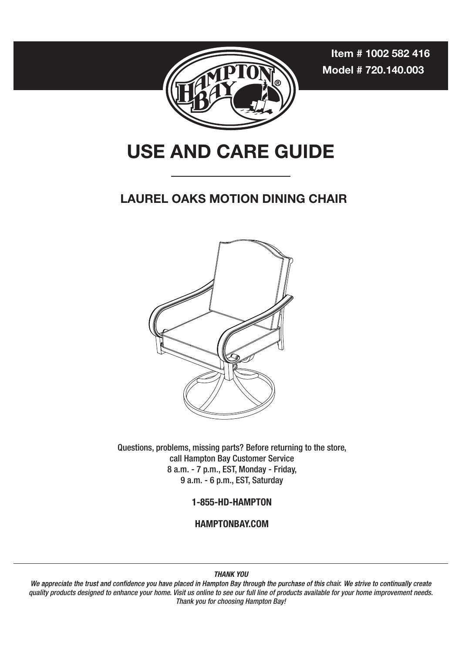**Item # 1002 582 416 Model # 720.140.003**



# **USE AND CARE GUIDE**

#### **LAUREL OAKS MOTION DINING CHAIR**



Questions, problems, missing parts? Before returning to the store, call Hampton Bay Customer Service 8 a.m. - 7 p.m., EST, Monday - Friday, 9 a.m. - 6 p.m., EST, Saturday

**1-855-HD-HAMPTON**

**HAMPTONBAY.COM** 

**THANK YOU**

quality products designed to enhance your home. Visit us online to see our full line of products available for your home improvement needs. Thank you for choosing Hampton Bay! We appreciate the trust and confidence you have placed in Hampton Bay through the purchase of this chair. We strive to continually create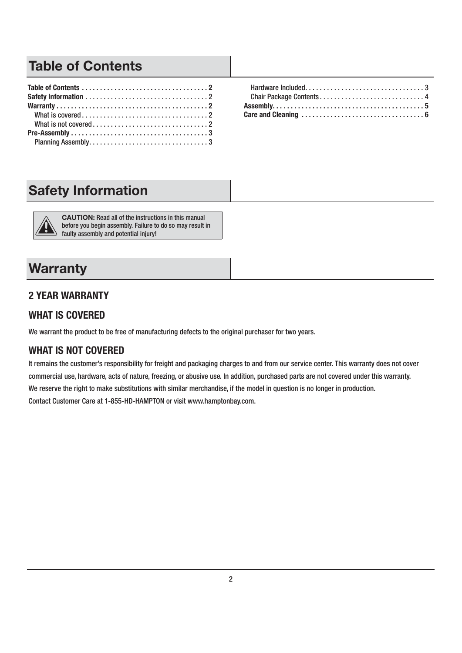## **Table of Contents**

## **Safety Information**



**CAUTION:** Read all of the instructions in this manual before you begin assembly. Failure to do so may result in faulty assembly and potential injury!

## **Warranty**

#### **2 YEAR WARRANTY**

#### **WHAT IS COVERED**

We warrant the product to be free of manufacturing defects to the original purchaser for two years.

#### **WHAT IS NOT COVERED**

It remains the customer's responsibility for freight and packaging charges to and from our service center. This warranty does not cover commercial use, hardware, acts of nature, freezing, or abusive use. In addition, purchased parts are not covered under this warranty. We reserve the right to make substitutions with similar merchandise, if the model in question is no longer in production. Contact Customer Care at 1-855-HD-HAMPTON or visit www.hamptonbay.com.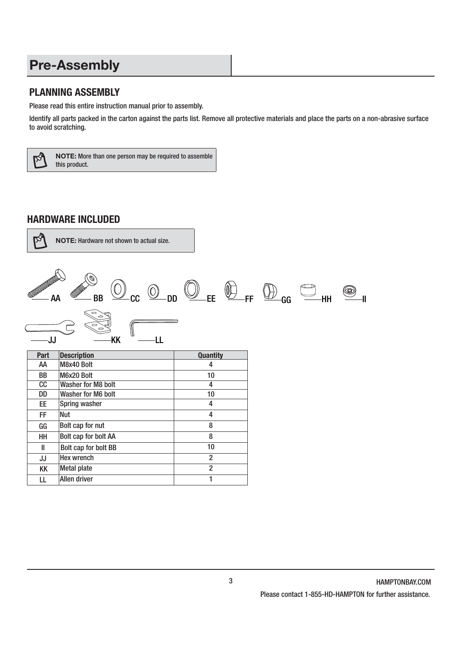## **Pre-Assembly**

#### **PLANNING ASSEMBLY**

Please read this entire instruction manual prior to assembly.

Identify all parts packed in the carton against the parts list. Remove all protective materials and place the parts on a non-abrasive surface to avoid scratching.



**NOTE:** More than one person may be required to assemble this product.

#### **HARDWARE INCLUDED**



**NOTE:** Hardware not shown to actual size.



| rart      | Description          | uuanutv        |
|-----------|----------------------|----------------|
| ΑА        | M8x40 Bolt           | 4              |
| <b>BB</b> | M6x20 Bolt           | 10             |
| CC.       | Washer for M8 bolt   | 4              |
| DD        | Washer for M6 bolt   | 10             |
| EE.       | Spring washer        | 4              |
| FF.       | Nut                  | 4              |
| GG        | Bolt cap for nut     | 8              |
| HH        | Bolt cap for bolt AA | 8              |
| Ш         | Bolt cap for bolt BB | 10             |
| JJ        | <b>Hex wrench</b>    | $\overline{2}$ |
| KK        | Metal plate          | $\overline{2}$ |
| LL        | Allen driver         |                |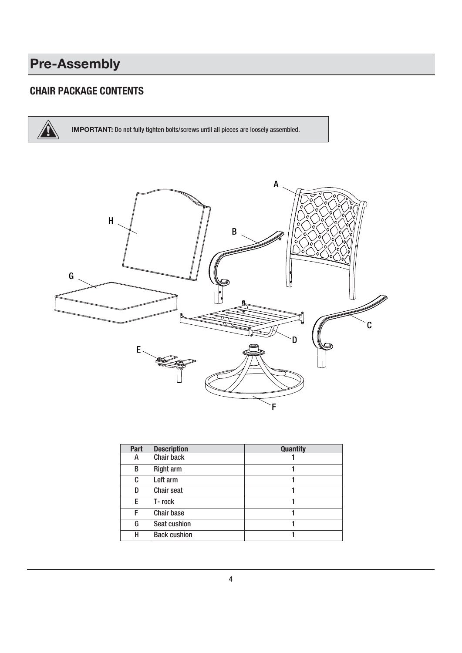# **Pre-Assembly**

#### **CHAIR PACKAGE CONTENTS**

**IMPORTANT:** Do not fully tighten bolts/screws until all pieces are loosely assembled.



| <b>Part</b> | <b>Description</b>  | <b>Quantity</b> |
|-------------|---------------------|-----------------|
| А           | <b>Chair back</b>   |                 |
| B           | <b>Right arm</b>    |                 |
| C           | Left arm            |                 |
| D           | <b>Chair seat</b>   |                 |
| E           | T-rock              |                 |
| F           | <b>Chair base</b>   |                 |
| G           | Seat cushion        |                 |
| н           | <b>Back cushion</b> |                 |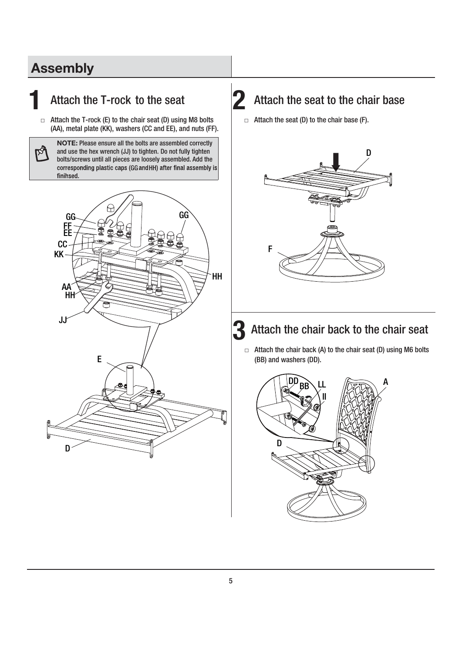## **Assembly**

**Age** 

### **1** Attach the T-rock to the seat

 $\Box$  Attach the T-rock (E) to the chair seat (D) using M8 bolts (AA), metal plate (KK), washers (CC and EE), and nuts (FF).

**NOTE:** Please ensure all the bolts are assembled correctly and use the hex wrench (JJ) to tighten. Do not fully tighten bolts/screws until all pieces are loosely assembled. Add the corresponding plastic caps (GG and HH) after final assembly is finihsed.



## 2 Attach the seat to the chair base

 $\Box$  Attach the seat (D) to the chair base (F).



## **3** Attach the chair back to the chair seat

 $\Box$  Attach the chair back (A) to the chair seat (D) using M6 bolts (BB) and washers (DD).

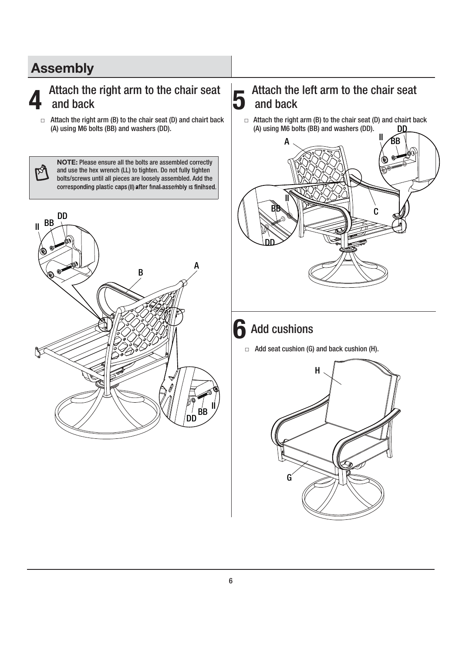## **Assembly**

M

#### **4** Attach the right arm to the chair seat and back

 $\Box$  Attach the right arm (B) to the chair seat (D) and chairt back (A) using M6 bolts (BB) and washers (DD).

**NOTE:** Please ensure all the bolts are assembled correctly and use the hex wrench (LL) to tighten. Do not fully tighten bolts/screws until all pieces are loosely assembled. Add the corresponding plastic caps (II) after final assembly is finihsed.



#### **5**  Attach the left arm to the chair seat and back

 $\Box$  Attach the right arm (B) to the chair seat (D) and chairt back DD (A) using M6 bolts (BB) and washers (DD).



## **6** Add cushions

 $\Box$  Add seat cushion (G) and back cushion (H).

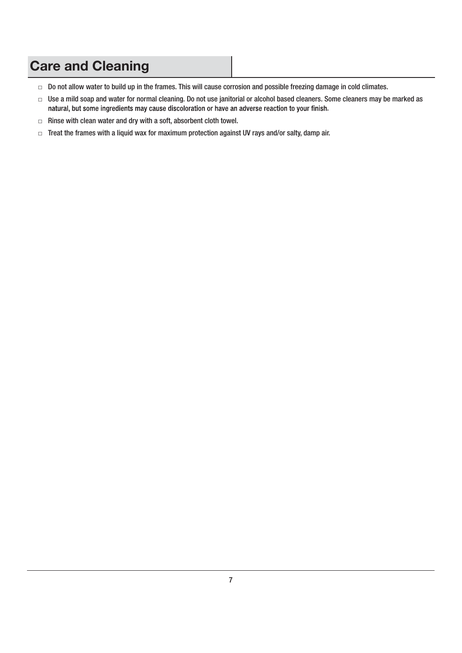# **Care and Cleaning**

- $\Box$  Do not allow water to build up in the frames. This will cause corrosion and possible freezing damage in cold climates.
- □ Use a mild soap and water for normal cleaning. Do not use janitorial or alcohol based cleaners. Some cleaners may be marked as natural, but some ingredients may cause discoloration or have an adverse reaction to your finish.
- $\Box$  Rinse with clean water and dry with a soft, absorbent cloth towel.
- $\Box$  Treat the frames with a liquid wax for maximum protection against UV rays and/or salty, damp air.